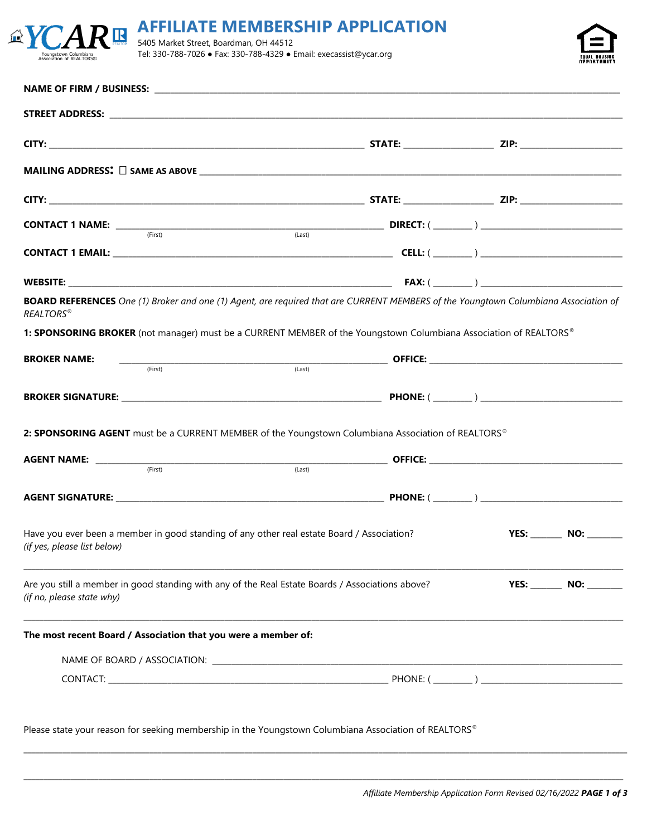|                                                  | $\overline{CAR}$ in $\overline{AR}$ affiliate membership application |
|--------------------------------------------------|----------------------------------------------------------------------|
|                                                  |                                                                      |
| Youngstown Columbiana<br>ssociation of REALTORS® | Tel: 330-788-7026 • Fax: 330-788-4329 • Email: execassist@ycar.org   |

 $\mathbb{Z}$ Y



|                                                                | (First)                           | (Last)                                                                                                                                     |  |                         |
|----------------------------------------------------------------|-----------------------------------|--------------------------------------------------------------------------------------------------------------------------------------------|--|-------------------------|
|                                                                |                                   |                                                                                                                                            |  |                         |
|                                                                |                                   |                                                                                                                                            |  |                         |
| <b>REALTORS®</b>                                               |                                   | <b>BOARD REFERENCES</b> One (1) Broker and one (1) Agent, are required that are CURRENT MEMBERS of the Youngtown Columbiana Association of |  |                         |
|                                                                |                                   | 1: SPONSORING BROKER (not manager) must be a CURRENT MEMBER of the Youngstown Columbiana Association of REALTORS®                          |  |                         |
| <b>BROKER NAME:</b>                                            | $\overline{\hspace{1cm}}$ (First) |                                                                                                                                            |  |                         |
|                                                                |                                   |                                                                                                                                            |  |                         |
|                                                                |                                   | 2: SPONSORING AGENT must be a CURRENT MEMBER of the Youngstown Columbiana Association of REALTORS®                                         |  |                         |
|                                                                |                                   | $\overbrace{\text{AGENT NAME:}}$ $\overbrace{\text{``First)}}$ $\overbrace{\text{``First)}}$ $\overbrace{\text{``Last)}}$ OFFICE:          |  |                         |
|                                                                |                                   |                                                                                                                                            |  |                         |
|                                                                |                                   |                                                                                                                                            |  |                         |
| (if yes, please list below)                                    |                                   | Have you ever been a member in good standing of any other real estate Board / Association?                                                 |  | YES: _______ NO: ______ |
| (if no, please state why)                                      |                                   | Are you still a member in good standing with any of the Real Estate Boards / Associations above?                                           |  | <b>YES: NO: NO:</b>     |
| The most recent Board / Association that you were a member of: |                                   |                                                                                                                                            |  |                         |
|                                                                |                                   |                                                                                                                                            |  |                         |
|                                                                |                                   |                                                                                                                                            |  |                         |
|                                                                |                                   |                                                                                                                                            |  |                         |
|                                                                |                                   | Please state your reason for seeking membership in the Youngstown Columbiana Association of REALTORS®                                      |  |                         |

\_\_\_\_\_\_\_\_\_\_\_\_\_\_\_\_\_\_\_\_\_\_\_\_\_\_\_\_\_\_\_\_\_\_\_\_\_\_\_\_\_\_\_\_\_\_\_\_\_\_\_\_\_\_\_\_\_\_\_\_\_\_\_\_\_\_\_\_\_\_\_\_\_\_\_\_\_\_\_\_\_\_\_\_\_\_\_\_\_\_\_\_\_\_\_\_\_\_\_\_\_\_\_\_\_\_\_\_\_\_\_\_\_\_\_\_\_\_\_\_\_\_\_\_\_\_\_\_\_\_\_\_\_\_\_\_\_\_\_\_\_\_\_\_\_\_\_\_\_\_\_\_\_

\_\_\_\_\_\_\_\_\_\_\_\_\_\_\_\_\_\_\_\_\_\_\_\_\_\_\_\_\_\_\_\_\_\_\_\_\_\_\_\_\_\_\_\_\_\_\_\_\_\_\_\_\_\_\_\_\_\_\_\_\_\_\_\_\_\_\_\_\_\_\_\_\_\_\_\_\_\_\_\_\_\_\_\_\_\_\_\_\_\_\_\_\_\_\_\_\_\_\_\_\_\_\_\_\_\_\_\_\_\_\_\_\_\_\_\_\_\_\_\_\_\_\_\_\_\_\_\_\_\_\_\_\_\_\_\_\_\_\_\_\_\_\_\_\_\_\_\_\_\_\_\_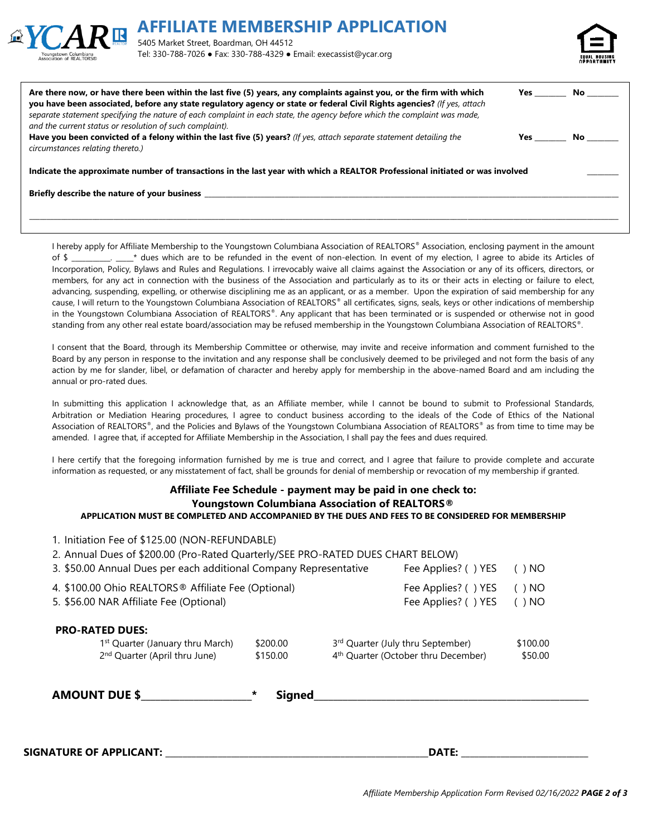



| Are there now, or have there been within the last five (5) years, any complaints against you, or the firm with which<br>you have been associated, before any state regulatory agency or state or federal Civil Rights agencies? (If yes, attach<br>separate statement specifying the nature of each complaint in each state, the agency before which the complaint was made,<br>and the current status or resolution of such complaint). | Yes | No l |  |  |  |
|------------------------------------------------------------------------------------------------------------------------------------------------------------------------------------------------------------------------------------------------------------------------------------------------------------------------------------------------------------------------------------------------------------------------------------------|-----|------|--|--|--|
| Have you been convicted of a felony within the last five (5) years? (If yes, attach separate statement detailing the<br>circumstances relating thereto.)                                                                                                                                                                                                                                                                                 | Yes | No l |  |  |  |
| Indicate the approximate number of transactions in the last year with which a REALTOR Professional initiated or was involved                                                                                                                                                                                                                                                                                                             |     |      |  |  |  |
| Briefly describe the nature of your business                                                                                                                                                                                                                                                                                                                                                                                             |     |      |  |  |  |
|                                                                                                                                                                                                                                                                                                                                                                                                                                          |     |      |  |  |  |

I hereby apply for Affiliate Membership to the Youngstown Columbiana Association of REALTORS® Association, enclosing payment in the amount of \$ \_\_\_\_\_\_\_\_\_. \* dues which are to be refunded in the event of non-election. In event of my election, I agree to abide its Articles of Incorporation, Policy, Bylaws and Rules and Regulations. I irrevocably waive all claims against the Association or any of its officers, directors, or members, for any act in connection with the business of the Association and particularly as to its or their acts in electing or failure to elect, advancing, suspending, expelling, or otherwise disciplining me as an applicant, or as a member. Upon the expiration of said membership for any cause, I will return to the Youngstown Columbiana Association of REALTORS® all certificates, signs, seals, keys or other indications of membership in the Youngstown Columbiana Association of REALTORS®. Any applicant that has been terminated or is suspended or otherwise not in good standing from any other real estate board/association may be refused membership in the Youngstown Columbiana Association of REALTORS®.

I consent that the Board, through its Membership Committee or otherwise, may invite and receive information and comment furnished to the Board by any person in response to the invitation and any response shall be conclusively deemed to be privileged and not form the basis of any action by me for slander, libel, or defamation of character and hereby apply for membership in the above-named Board and am including the annual or pro-rated dues.

In submitting this application I acknowledge that, as an Affiliate member, while I cannot be bound to submit to Professional Standards, Arbitration or Mediation Hearing procedures, I agree to conduct business according to the ideals of the Code of Ethics of the National Association of REALTORS®, and the Policies and Bylaws of the Youngstown Columbiana Association of REALTORS® as from time to time may be amended. I agree that, if accepted for Affiliate Membership in the Association, I shall pay the fees and dues required.

I here certify that the foregoing information furnished by me is true and correct, and I agree that failure to provide complete and accurate information as requested, or any misstatement of fact, shall be grounds for denial of membership or revocation of my membership if granted.

## **Affiliate Fee Schedule - payment may be paid in one check to: Youngstown Columbiana Association of REALTORS® APPLICATION MUST BE COMPLETED AND ACCOMPANIED BY THE DUES AND FEES TO BE CONSIDERED FOR MEMBERSHIP**

| 1. Initiation Fee of \$125.00 (NON-REFUNDABLE)<br>2. Annual Dues of \$200.00 (Pro-Rated Quarterly/SEE PRO-RATED DUES CHART BELOW)<br>3. \$50.00 Annual Dues per each additional Company Representative |                                            |  | Fee Applies? () YES                                                                  | I NO<br>$($ )       |
|--------------------------------------------------------------------------------------------------------------------------------------------------------------------------------------------------------|--------------------------------------------|--|--------------------------------------------------------------------------------------|---------------------|
| 4. \$100.00 Ohio REALTORS <sup>®</sup> Affiliate Fee (Optional)<br>5. \$56.00 NAR Affiliate Fee (Optional)                                                                                             |                                            |  | Fee Applies? () YES<br>Fee Applies? () YES                                           | ( ) NO<br>( ) NO    |
| <b>PRO-RATED DUES:</b><br>1 <sup>st</sup> Quarter (January thru March)<br>2 <sup>nd</sup> Quarter (April thru June)<br><b>AMOUNT DUE \$</b>                                                            | \$200.00<br>\$150.00<br>∗<br><b>Signed</b> |  | 3rd Quarter (July thru September)<br>4 <sup>th</sup> Quarter (October thru December) | \$100.00<br>\$50.00 |
|                                                                                                                                                                                                        |                                            |  |                                                                                      |                     |

**SIGNATURE OF APPLICANT:** \_\_\_\_\_\_\_\_\_\_\_\_\_\_\_\_\_\_\_\_\_\_\_\_\_\_\_\_\_\_\_\_\_\_\_\_\_\_\_\_\_\_\_\_\_\_\_\_\_\_\_\_\_\_\_\_\_\_\_\_**DATE:** \_\_\_\_\_\_\_\_\_\_\_\_\_\_\_\_\_\_\_\_\_\_\_\_\_\_\_\_\_